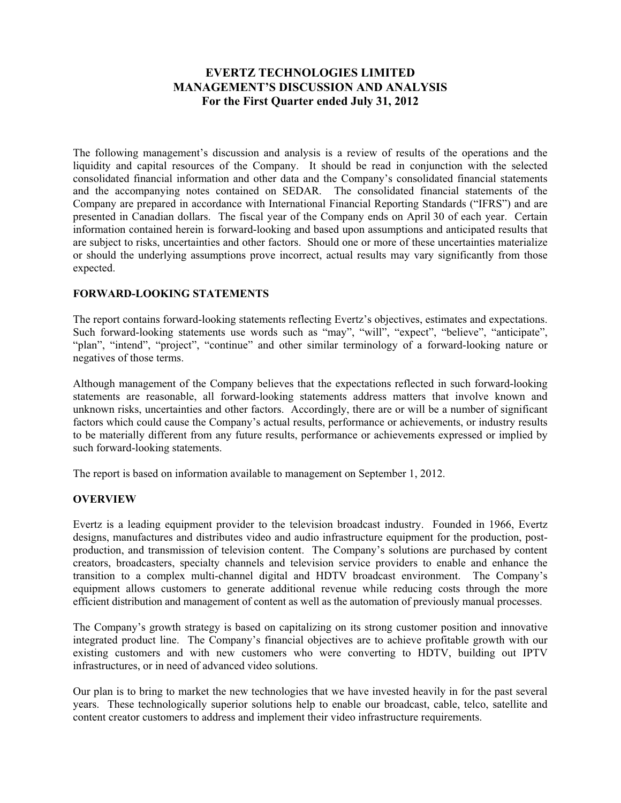# **EVERTZ TECHNOLOGIES LIMITED MANAGEMENT'S DISCUSSION AND ANALYSIS For the First Quarter ended July 31, 2012**

The following management's discussion and analysis is a review of results of the operations and the liquidity and capital resources of the Company. It should be read in conjunction with the selected consolidated financial information and other data and the Company's consolidated financial statements and the accompanying notes contained on SEDAR. The consolidated financial statements of the Company are prepared in accordance with International Financial Reporting Standards ("IFRS") and are presented in Canadian dollars. The fiscal year of the Company ends on April 30 of each year. Certain information contained herein is forward-looking and based upon assumptions and anticipated results that are subject to risks, uncertainties and other factors. Should one or more of these uncertainties materialize or should the underlying assumptions prove incorrect, actual results may vary significantly from those expected.

# **FORWARD-LOOKING STATEMENTS**

The report contains forward-looking statements reflecting Evertz's objectives, estimates and expectations. Such forward-looking statements use words such as "may", "will", "expect", "believe", "anticipate", "plan", "intend", "project", "continue" and other similar terminology of a forward-looking nature or negatives of those terms.

Although management of the Company believes that the expectations reflected in such forward-looking statements are reasonable, all forward-looking statements address matters that involve known and unknown risks, uncertainties and other factors. Accordingly, there are or will be a number of significant factors which could cause the Company's actual results, performance or achievements, or industry results to be materially different from any future results, performance or achievements expressed or implied by such forward-looking statements.

The report is based on information available to management on September 1, 2012.

# **OVERVIEW**

Evertz is a leading equipment provider to the television broadcast industry. Founded in 1966, Evertz designs, manufactures and distributes video and audio infrastructure equipment for the production, postproduction, and transmission of television content. The Company's solutions are purchased by content creators, broadcasters, specialty channels and television service providers to enable and enhance the transition to a complex multi-channel digital and HDTV broadcast environment. The Company's equipment allows customers to generate additional revenue while reducing costs through the more efficient distribution and management of content as well as the automation of previously manual processes.

The Company's growth strategy is based on capitalizing on its strong customer position and innovative integrated product line. The Company's financial objectives are to achieve profitable growth with our existing customers and with new customers who were converting to HDTV, building out IPTV infrastructures, or in need of advanced video solutions.

Our plan is to bring to market the new technologies that we have invested heavily in for the past several years. These technologically superior solutions help to enable our broadcast, cable, telco, satellite and content creator customers to address and implement their video infrastructure requirements.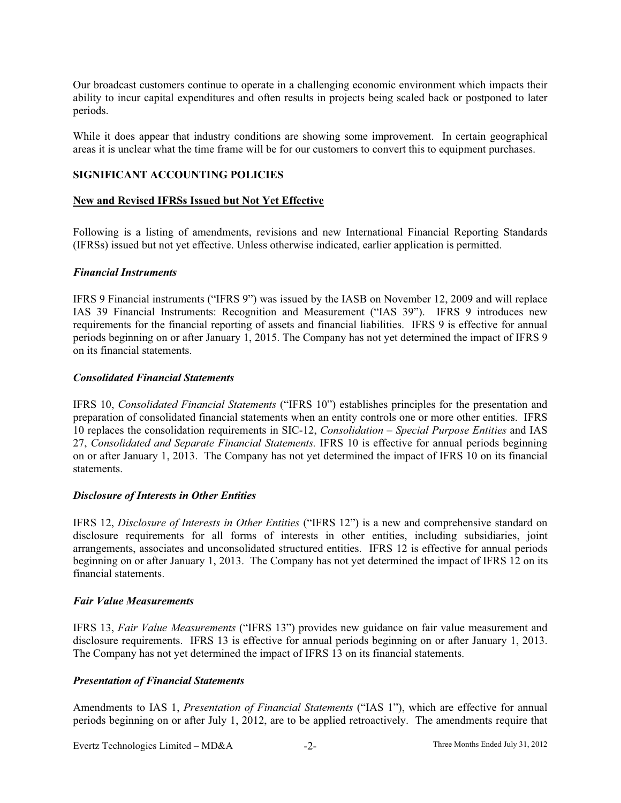Our broadcast customers continue to operate in a challenging economic environment which impacts their ability to incur capital expenditures and often results in projects being scaled back or postponed to later periods.

While it does appear that industry conditions are showing some improvement. In certain geographical areas it is unclear what the time frame will be for our customers to convert this to equipment purchases.

# **SIGNIFICANT ACCOUNTING POLICIES**

#### **New and Revised IFRSs Issued but Not Yet Effective**

Following is a listing of amendments, revisions and new International Financial Reporting Standards (IFRSs) issued but not yet effective. Unless otherwise indicated, earlier application is permitted.

#### *Financial Instruments*

IFRS 9 Financial instruments ("IFRS 9") was issued by the IASB on November 12, 2009 and will replace IAS 39 Financial Instruments: Recognition and Measurement ("IAS 39"). IFRS 9 introduces new requirements for the financial reporting of assets and financial liabilities. IFRS 9 is effective for annual periods beginning on or after January 1, 2015. The Company has not yet determined the impact of IFRS 9 on its financial statements.

#### *Consolidated Financial Statements*

IFRS 10, *Consolidated Financial Statements* ("IFRS 10") establishes principles for the presentation and preparation of consolidated financial statements when an entity controls one or more other entities. IFRS 10 replaces the consolidation requirements in SIC-12, *Consolidation – Special Purpose Entities* and IAS 27, *Consolidated and Separate Financial Statements.* IFRS 10 is effective for annual periods beginning on or after January 1, 2013. The Company has not yet determined the impact of IFRS 10 on its financial statements.

# *Disclosure of Interests in Other Entities*

IFRS 12, *Disclosure of Interests in Other Entities* ("IFRS 12") is a new and comprehensive standard on disclosure requirements for all forms of interests in other entities, including subsidiaries, joint arrangements, associates and unconsolidated structured entities. IFRS 12 is effective for annual periods beginning on or after January 1, 2013. The Company has not yet determined the impact of IFRS 12 on its financial statements.

#### *Fair Value Measurements*

IFRS 13, *Fair Value Measurements* ("IFRS 13") provides new guidance on fair value measurement and disclosure requirements. IFRS 13 is effective for annual periods beginning on or after January 1, 2013. The Company has not yet determined the impact of IFRS 13 on its financial statements.

# *Presentation of Financial Statements*

Amendments to IAS 1, *Presentation of Financial Statements* ("IAS 1"), which are effective for annual periods beginning on or after July 1, 2012, are to be applied retroactively. The amendments require that

Evertz Technologies Limited – MD&A -2- Three Months Ended July 31, 2012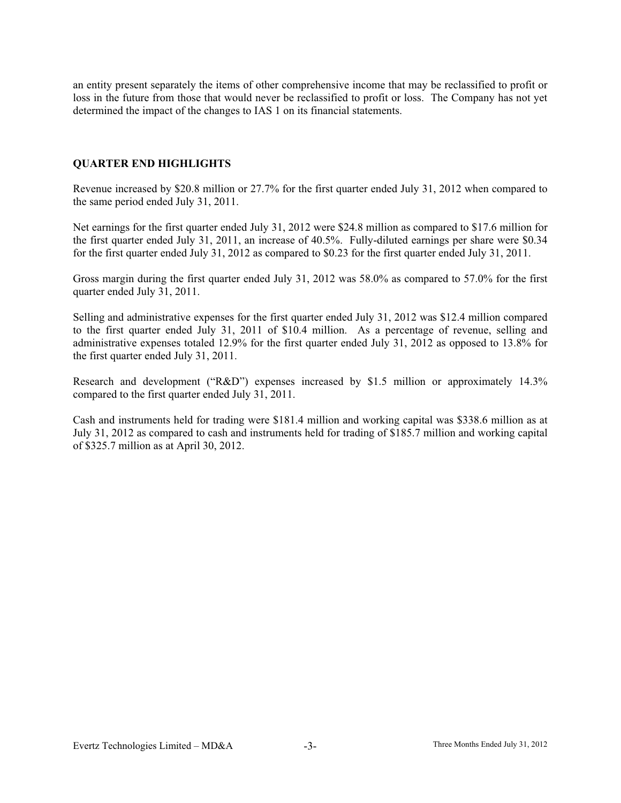an entity present separately the items of other comprehensive income that may be reclassified to profit or loss in the future from those that would never be reclassified to profit or loss. The Company has not yet determined the impact of the changes to IAS 1 on its financial statements.

# **QUARTER END HIGHLIGHTS**

Revenue increased by \$20.8 million or 27.7% for the first quarter ended July 31, 2012 when compared to the same period ended July 31, 2011.

Net earnings for the first quarter ended July 31, 2012 were \$24.8 million as compared to \$17.6 million for the first quarter ended July 31, 2011, an increase of 40.5%. Fully-diluted earnings per share were \$0.34 for the first quarter ended July 31, 2012 as compared to \$0.23 for the first quarter ended July 31, 2011.

Gross margin during the first quarter ended July 31, 2012 was 58.0% as compared to 57.0% for the first quarter ended July 31, 2011.

Selling and administrative expenses for the first quarter ended July 31, 2012 was \$12.4 million compared to the first quarter ended July 31, 2011 of \$10.4 million. As a percentage of revenue, selling and administrative expenses totaled 12.9% for the first quarter ended July 31, 2012 as opposed to 13.8% for the first quarter ended July 31, 2011.

Research and development ("R&D") expenses increased by \$1.5 million or approximately 14.3% compared to the first quarter ended July 31, 2011.

Cash and instruments held for trading were \$181.4 million and working capital was \$338.6 million as at July 31, 2012 as compared to cash and instruments held for trading of \$185.7 million and working capital of \$325.7 million as at April 30, 2012.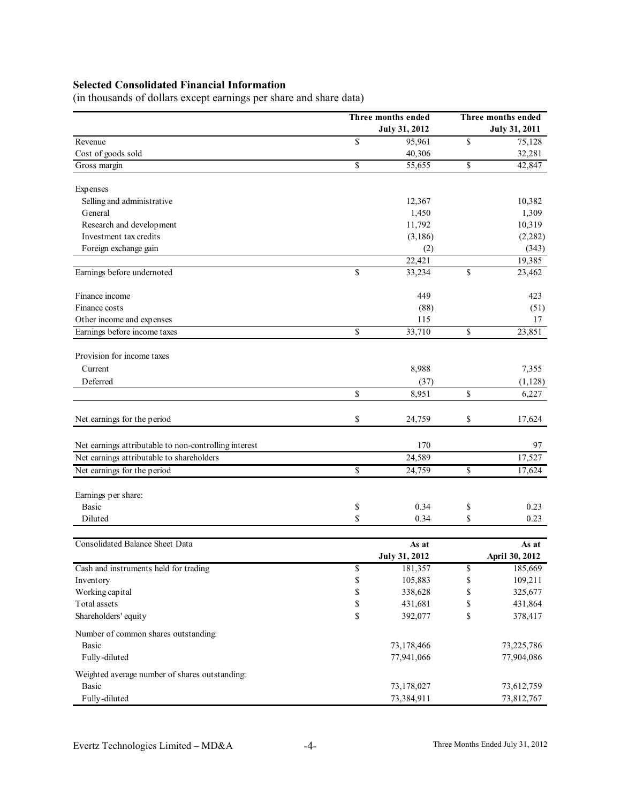# **Selected Consolidated Financial Information**

(in thousands of dollars except earnings per share and share data)

|                                                       | Three months ended   |    | Three months ended   |  |  |
|-------------------------------------------------------|----------------------|----|----------------------|--|--|
|                                                       | <b>July 31, 2012</b> |    | <b>July 31, 2011</b> |  |  |
| Revenue                                               | \$<br>95,961         | \$ | 75,128               |  |  |
| Cost of goods sold                                    | 40,306               |    | 32,281               |  |  |
| Gross margin                                          | \$<br>55,655         | \$ | 42,847               |  |  |
| Expenses                                              |                      |    |                      |  |  |
| Selling and administrative                            | 12,367               |    | 10,382               |  |  |
| General                                               | 1,450                |    | 1,309                |  |  |
| Research and development                              | 11,792               |    | 10,319               |  |  |
| Investment tax credits                                | (3,186)              |    | (2, 282)             |  |  |
| Foreign exchange gain                                 | (2)                  |    | (343)                |  |  |
|                                                       | 22,421               |    | 19,385               |  |  |
| Earnings before undernoted                            | \$<br>33,234         | \$ | 23,462               |  |  |
| Finance income                                        | 449                  |    | 423                  |  |  |
| Finance costs                                         | (88)                 |    | (51)                 |  |  |
| Other income and expenses                             | 115                  |    | 17                   |  |  |
| Earnings before income taxes                          | \$<br>33,710         | \$ | 23,851               |  |  |
| Provision for income taxes                            |                      |    |                      |  |  |
| Current                                               | 8,988                |    | 7,355                |  |  |
| Deferred                                              | (37)                 |    | (1, 128)             |  |  |
|                                                       | \$<br>8,951          | \$ | 6,227                |  |  |
| Net earnings for the period                           | \$<br>24,759         | \$ | 17,624               |  |  |
| Net earnings attributable to non-controlling interest | 170                  |    | 97                   |  |  |
| Net earnings attributable to shareholders             | 24,589               |    | 17,527               |  |  |
| Net earnings for the period                           | \$<br>24,759         | \$ | 17,624               |  |  |
| Earnings per share:                                   |                      |    |                      |  |  |
| <b>Basic</b>                                          | \$<br>0.34           | \$ | 0.23                 |  |  |
| Diluted                                               | \$<br>0.34           | \$ | 0.23                 |  |  |
|                                                       |                      |    |                      |  |  |
| Consolidated Balance Sheet Data                       | As at                |    | As at                |  |  |
|                                                       | <b>July 31, 2012</b> |    | April 30, 2012       |  |  |
| Cash and instruments held for trading                 | \$<br>181,357        | \$ | 185,669              |  |  |
| Inventory                                             | \$<br>105,883        | \$ | 109,211              |  |  |
| Working capital                                       | \$<br>338,628        | \$ | 325,677              |  |  |
| Total assets                                          | \$<br>431,681        | \$ | 431,864              |  |  |
| Shareholders' equity                                  | \$<br>392,077        | \$ | 378,417              |  |  |
| Number of common shares outstanding:                  |                      |    |                      |  |  |
| <b>Basic</b>                                          | 73,178,466           |    | 73,225,786           |  |  |
| Fully-diluted                                         | 77,941,066           |    | 77,904,086           |  |  |
| Weighted average number of shares outstanding:        |                      |    |                      |  |  |
| Basic                                                 | 73,178,027           |    | 73,612,759           |  |  |
| Fully-diluted                                         | 73,384,911           |    | 73,812,767           |  |  |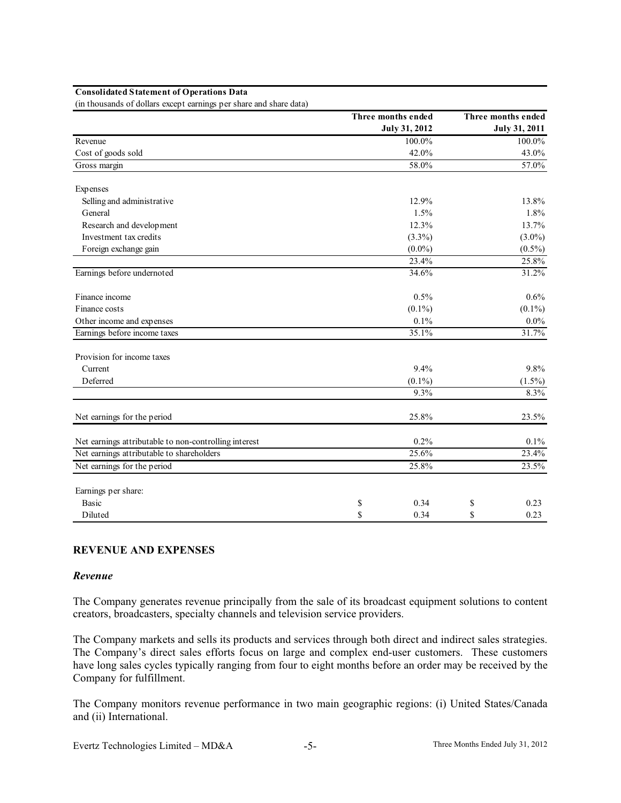|                                                       | Three months ended   | Three months ended   |
|-------------------------------------------------------|----------------------|----------------------|
|                                                       | <b>July 31, 2012</b> | <b>July 31, 2011</b> |
| Revenue                                               | 100.0%               | 100.0%               |
| Cost of goods sold                                    | 42.0%                | 43.0%                |
| Gross margin                                          | 58.0%                | 57.0%                |
| Expenses                                              |                      |                      |
| Selling and administrative                            | 12.9%                | 13.8%                |
| General                                               | 1.5%                 | 1.8%                 |
| Research and development                              | 12.3%                | 13.7%                |
| Investment tax credits                                | $(3.3\%)$            | $(3.0\%)$            |
| Foreign exchange gain                                 | $(0.0\%)$            | $(0.5\%)$            |
|                                                       | 23.4%                | 25.8%                |
| Earnings before undernoted                            | 34.6%                | 31.2%                |
| Finance income                                        | 0.5%                 | $0.6\%$              |
| Finance costs                                         | $(0.1\%)$            | $(0.1\%)$            |
| Other income and expenses                             | 0.1%                 | $0.0\%$              |
| Earnings before income taxes                          | 35.1%                | 31.7%                |
| Provision for income taxes                            |                      |                      |
| Current                                               | 9.4%                 | 9.8%                 |
| Deferred                                              | $(0.1\%)$            | $(1.5\%)$            |
|                                                       | 9.3%                 | 8.3%                 |
| Net earnings for the period                           | 25.8%                | 23.5%                |
| Net earnings attributable to non-controlling interest | 0.2%                 | 0.1%                 |
| Net earnings attributable to shareholders             | 25.6%                | 23.4%                |
| Net earnings for the period                           | 25.8%                | 23.5%                |
| Earnings per share:                                   |                      |                      |
| <b>Basic</b>                                          | 0.34<br>\$           | \$<br>0.23           |
| Diluted                                               | S<br>0.34            | \$<br>0.23           |

#### **Consolidated Statement of Operations Data**

(in thousands of dollars except earnings per share and share data)

# **REVENUE AND EXPENSES**

#### *Revenue*

The Company generates revenue principally from the sale of its broadcast equipment solutions to content creators, broadcasters, specialty channels and television service providers.

The Company markets and sells its products and services through both direct and indirect sales strategies. The Company's direct sales efforts focus on large and complex end-user customers. These customers have long sales cycles typically ranging from four to eight months before an order may be received by the Company for fulfillment.

The Company monitors revenue performance in two main geographic regions: (i) United States/Canada and (ii) International.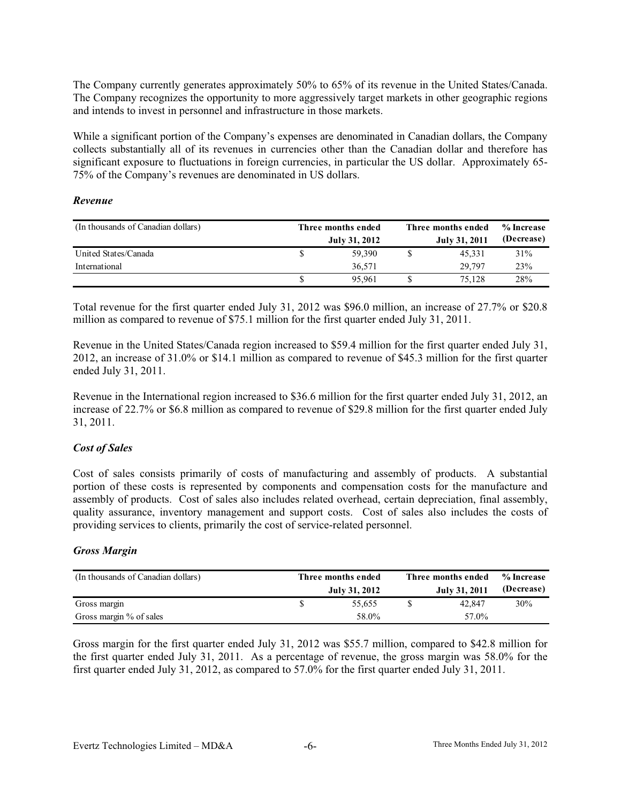The Company currently generates approximately 50% to 65% of its revenue in the United States/Canada. The Company recognizes the opportunity to more aggressively target markets in other geographic regions and intends to invest in personnel and infrastructure in those markets.

While a significant portion of the Company's expenses are denominated in Canadian dollars, the Company collects substantially all of its revenues in currencies other than the Canadian dollar and therefore has significant exposure to fluctuations in foreign currencies, in particular the US dollar. Approximately 65-75% of the Company's revenues are denominated in US dollars.

#### *Revenue*

| (In thousands of Canadian dollars) | Three months ended |               | Three months ended | % Increase           |            |
|------------------------------------|--------------------|---------------|--------------------|----------------------|------------|
|                                    |                    | July 31, 2012 |                    | <b>July 31, 2011</b> | (Decrease) |
| United States/Canada               |                    | 59,390        |                    | 45.331               | 31%        |
| International                      |                    | 36,571        |                    | 29.797               | 23%        |
|                                    |                    | 95.961        |                    | 75.128               | 28%        |

Total revenue for the first quarter ended July 31, 2012 was \$96.0 million, an increase of 27.7% or \$20.8 million as compared to revenue of \$75.1 million for the first quarter ended July 31, 2011.

Revenue in the United States/Canada region increased to \$59.4 million for the first quarter ended July 31, 2012, an increase of 31.0% or \$14.1 million as compared to revenue of \$45.3 million for the first quarter ended July 31, 2011.

Revenue in the International region increased to \$36.6 million for the first quarter ended July 31, 2012, an increase of 22.7% or \$6.8 million as compared to revenue of \$29.8 million for the first quarter ended July 31, 2011.

# *Cost of Sales*

Cost of sales consists primarily of costs of manufacturing and assembly of products. A substantial portion of these costs is represented by components and compensation costs for the manufacture and assembly of products. Cost of sales also includes related overhead, certain depreciation, final assembly, quality assurance, inventory management and support costs. Cost of sales also includes the costs of providing services to clients, primarily the cost of service-related personnel.

# *Gross Margin*

| (In thousands of Canadian dollars) | Three months ended<br>July 31, 2012 | Three months ended<br>July 31, 2011 | % Increase<br>(Decrease) |
|------------------------------------|-------------------------------------|-------------------------------------|--------------------------|
| Gross margin                       | 55.655                              | 42,847                              | 30%                      |
| Gross margin % of sales            | 58.0%                               | 57.0%                               |                          |

Gross margin for the first quarter ended July 31, 2012 was \$55.7 million, compared to \$42.8 million for the first quarter ended July 31, 2011. As a percentage of revenue, the gross margin was 58.0% for the first quarter ended July 31, 2012, as compared to 57.0% for the first quarter ended July 31, 2011.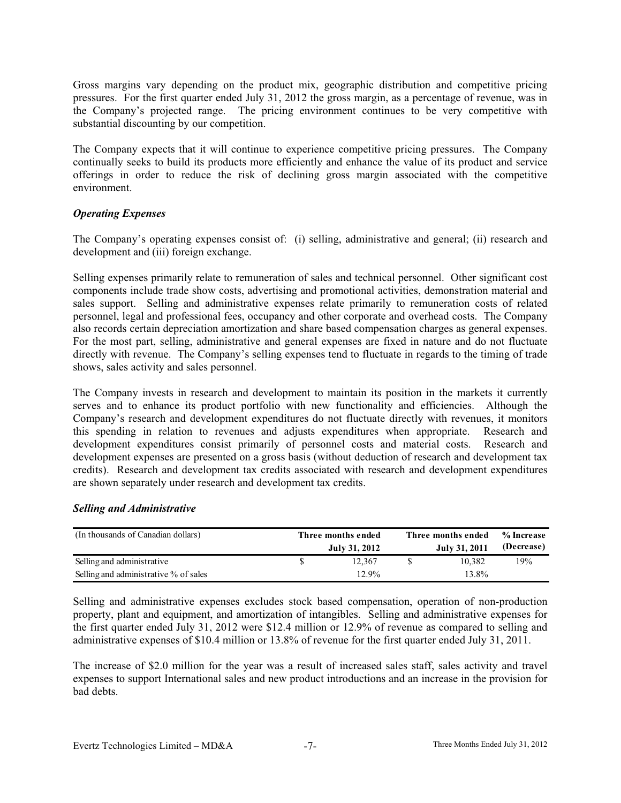Gross margins vary depending on the product mix, geographic distribution and competitive pricing pressures. For the first quarter ended July 31, 2012 the gross margin, as a percentage of revenue, was in the Company's projected range. The pricing environment continues to be very competitive with substantial discounting by our competition.

The Company expects that it will continue to experience competitive pricing pressures. The Company continually seeks to build its products more efficiently and enhance the value of its product and service offerings in order to reduce the risk of declining gross margin associated with the competitive environment.

# *Operating Expenses*

The Company's operating expenses consist of: (i) selling, administrative and general; (ii) research and development and (iii) foreign exchange.

Selling expenses primarily relate to remuneration of sales and technical personnel. Other significant cost components include trade show costs, advertising and promotional activities, demonstration material and sales support. Selling and administrative expenses relate primarily to remuneration costs of related personnel, legal and professional fees, occupancy and other corporate and overhead costs. The Company also records certain depreciation amortization and share based compensation charges as general expenses. For the most part, selling, administrative and general expenses are fixed in nature and do not fluctuate directly with revenue. The Company's selling expenses tend to fluctuate in regards to the timing of trade shows, sales activity and sales personnel.

The Company invests in research and development to maintain its position in the markets it currently serves and to enhance its product portfolio with new functionality and efficiencies. Although the Company's research and development expenditures do not fluctuate directly with revenues, it monitors this spending in relation to revenues and adjusts expenditures when appropriate. Research and development expenditures consist primarily of personnel costs and material costs. Research and development expenses are presented on a gross basis (without deduction of research and development tax credits). Research and development tax credits associated with research and development expenditures are shown separately under research and development tax credits.

#### *Selling and Administrative*

| (In thousands of Canadian dollars)    | Three months ended<br>July 31, 2012 | Three months ended<br>July 31, 2011 | % Increase<br>(Decrease) |
|---------------------------------------|-------------------------------------|-------------------------------------|--------------------------|
| Selling and administrative            | 12.367                              | 10.382                              | 19%                      |
| Selling and administrative % of sales | 12.9%                               | 13.8%                               |                          |

Selling and administrative expenses excludes stock based compensation, operation of non-production property, plant and equipment, and amortization of intangibles. Selling and administrative expenses for the first quarter ended July 31, 2012 were \$12.4 million or 12.9% of revenue as compared to selling and administrative expenses of \$10.4 million or 13.8% of revenue for the first quarter ended July 31, 2011.

The increase of \$2.0 million for the year was a result of increased sales staff, sales activity and travel expenses to support International sales and new product introductions and an increase in the provision for bad debts.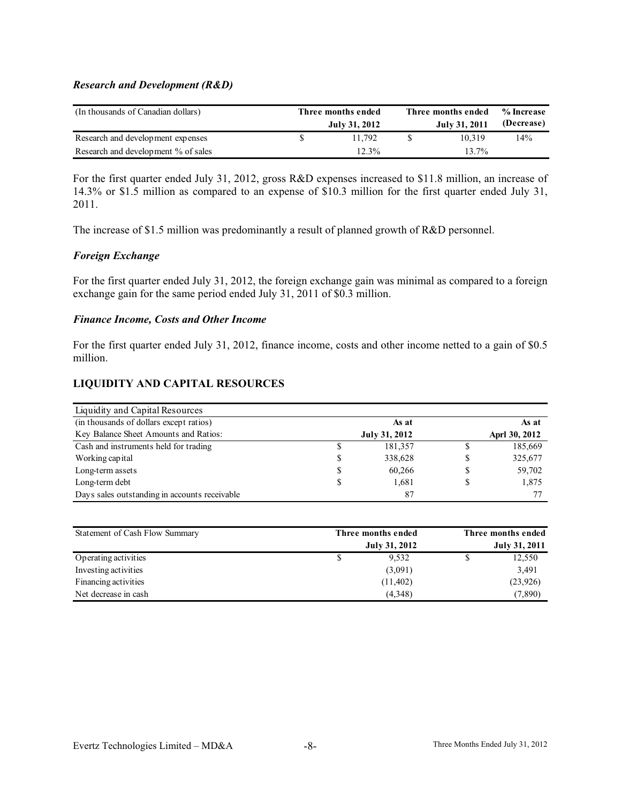#### *Research and Development (R&D)*

| (In thousands of Canadian dollars)  | Three months ended<br>July 31, 2012 | Three months ended<br>July 31, 2011 | % Increase<br>(Decrease) |
|-------------------------------------|-------------------------------------|-------------------------------------|--------------------------|
| Research and development expenses   | 11.792                              | 10.319                              | 14%                      |
| Research and development % of sales | $12.3\%$                            | $13.7\%$                            |                          |

For the first quarter ended July 31, 2012, gross R&D expenses increased to \$11.8 million, an increase of 14.3% or \$1.5 million as compared to an expense of \$10.3 million for the first quarter ended July 31, 2011.

The increase of \$1.5 million was predominantly a result of planned growth of R&D personnel.

# *Foreign Exchange*

For the first quarter ended July 31, 2012, the foreign exchange gain was minimal as compared to a foreign exchange gain for the same period ended July 31, 2011 of \$0.3 million.

#### *Finance Income, Costs and Other Income*

For the first quarter ended July 31, 2012, finance income, costs and other income netted to a gain of \$0.5 million.

# **LIQUIDITY AND CAPITAL RESOURCES**

| Liquidity and Capital Resources               |               |               |
|-----------------------------------------------|---------------|---------------|
| (in thousands of dollars except ratios)       | As at         | As at         |
| Key Balance Sheet Amounts and Ratios:         | July 31, 2012 | Aprl 30, 2012 |
| Cash and instruments held for trading         | 181,357       | 185,669       |
| Working capital                               | 338,628       | 325,677       |
| Long-term assets                              | 60,266        | 59,702        |
| Long-term debt                                | 1.681         | 1,875         |
| Days sales outstanding in accounts receivable | 87            |               |

| Statement of Cash Flow Summary | Three months ended   | Three months ended |                      |  |
|--------------------------------|----------------------|--------------------|----------------------|--|
|                                | <b>July 31, 2012</b> |                    | <b>July 31, 2011</b> |  |
| Operating activities           | 9.532                |                    | 12,550               |  |
| Investing activities           | (3,091)              |                    | 3,491                |  |
| Financing activities           | (11, 402)            |                    | (23,926)             |  |
| Net decrease in cash           | (4,348)              |                    | (7,890)              |  |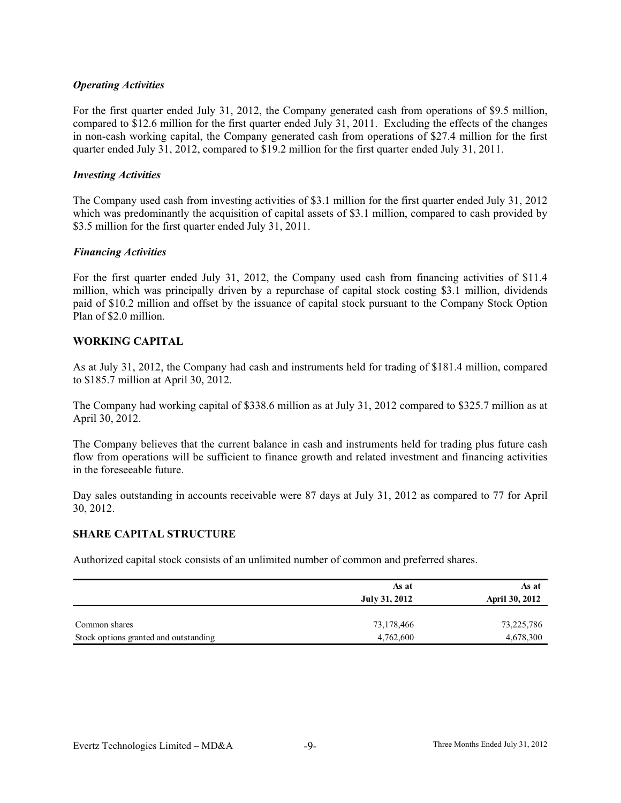#### *Operating Activities*

For the first quarter ended July 31, 2012, the Company generated cash from operations of \$9.5 million, compared to \$12.6 million for the first quarter ended July 31, 2011. Excluding the effects of the changes in non-cash working capital, the Company generated cash from operations of \$27.4 million for the first quarter ended July 31, 2012, compared to \$19.2 million for the first quarter ended July 31, 2011.

#### *Investing Activities*

The Company used cash from investing activities of \$3.1 million for the first quarter ended July 31, 2012 which was predominantly the acquisition of capital assets of \$3.1 million, compared to cash provided by \$3.5 million for the first quarter ended July 31, 2011.

#### *Financing Activities*

For the first quarter ended July 31, 2012, the Company used cash from financing activities of \$11.4 million, which was principally driven by a repurchase of capital stock costing \$3.1 million, dividends paid of \$10.2 million and offset by the issuance of capital stock pursuant to the Company Stock Option Plan of \$2.0 million.

#### **WORKING CAPITAL**

As at July 31, 2012, the Company had cash and instruments held for trading of \$181.4 million, compared to \$185.7 million at April 30, 2012.

The Company had working capital of \$338.6 million as at July 31, 2012 compared to \$325.7 million as at April 30, 2012.

The Company believes that the current balance in cash and instruments held for trading plus future cash flow from operations will be sufficient to finance growth and related investment and financing activities in the foreseeable future.

Day sales outstanding in accounts receivable were 87 days at July 31, 2012 as compared to 77 for April 30, 2012.

#### **SHARE CAPITAL STRUCTURE**

Authorized capital stock consists of an unlimited number of common and preferred shares.

|                                       | As at<br>July 31, 2012 | As at<br><b>April 30, 2012</b> |
|---------------------------------------|------------------------|--------------------------------|
| Common shares                         | 73,178,466             | 73,225,786                     |
| Stock options granted and outstanding | 4,762,600              | 4,678,300                      |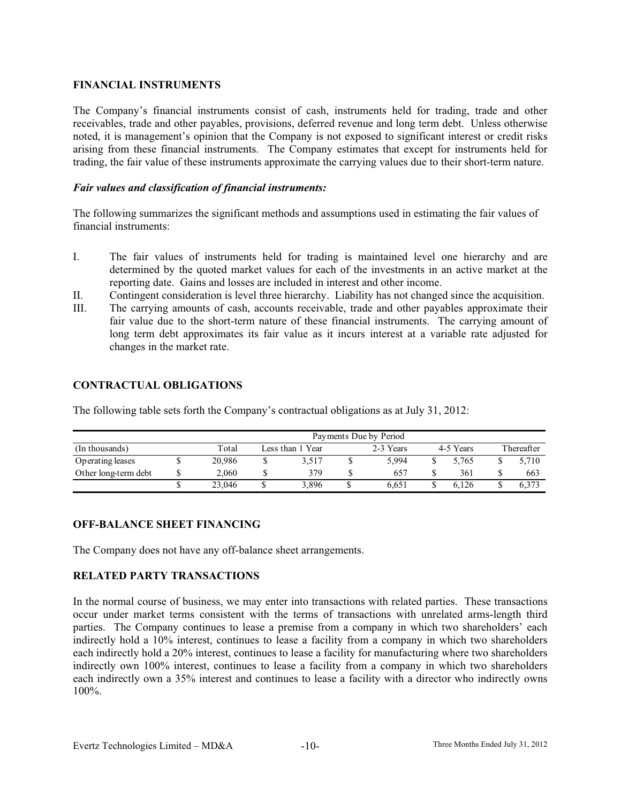# **FINANCIAL INSTRUMENTS**

The Company's financial instruments consist of cash, instruments held for trading, trade and other receivables, trade and other payables, provisions, deferred revenue and long term debt. Unless otherwise noted, it is management's opinion that the Company is not exposed to significant interest or credit risks arising from these financial instruments. The Company estimates that except for instruments held for trading, the fair value of these instruments approximate the carrying values due to their short-term nature.

#### *Fair values and classification of financial instruments:*

The following summarizes the significant methods and assumptions used in estimating the fair values of financial instruments:

- I. The fair values of instruments held for trading is maintained level one hierarchy and are determined by the quoted market values for each of the investments in an active market at the reporting date. Gains and losses are included in interest and other income.
- II. Contingent consideration is level three hierarchy. Liability has not changed since the acquisition.
- III. The carrying amounts of cash, accounts receivable, trade and other payables approximate their fair value due to the short-term nature of these financial instruments. The carrying amount of long term debt approximates its fair value as it incurs interest at a variable rate adjusted for changes in the market rate.

# **CONTRACTUAL OBLIGATIONS**

The following table sets forth the Company's contractual obligations as at July 31, 2012:

|                      | Payments Due by Period |  |                  |  |           |  |           |  |            |
|----------------------|------------------------|--|------------------|--|-----------|--|-----------|--|------------|
| (In thousands)       | Total                  |  | Less than 1 Year |  | 2-3 Years |  | 4-5 Years |  | Thereafter |
| Operating leases     | 20,986                 |  | 3,517            |  | 5.994     |  | 5.765     |  | 5.710      |
| Other long-term debt | 2.060                  |  | 379              |  | 657       |  | 361       |  | 663        |
|                      | 23,046                 |  | 3.896            |  | 6.651     |  | 6.126     |  | 6.373      |

# **OFF-BALANCE SHEET FINANCING**

The Company does not have any off-balance sheet arrangements.

# **RELATED PARTY TRANSACTIONS**

In the normal course of business, we may enter into transactions with related parties. These transactions occur under market terms consistent with the terms of transactions with unrelated arms-length third parties. The Company continues to lease a premise from a company in which two shareholders' each indirectly hold a 10% interest, continues to lease a facility from a company in which two shareholders each indirectly hold a 20% interest, continues to lease a facility for manufacturing where two shareholders indirectly own 100% interest, continues to lease a facility from a company in which two shareholders each indirectly own a 35% interest and continues to lease a facility with a director who indirectly owns 100%.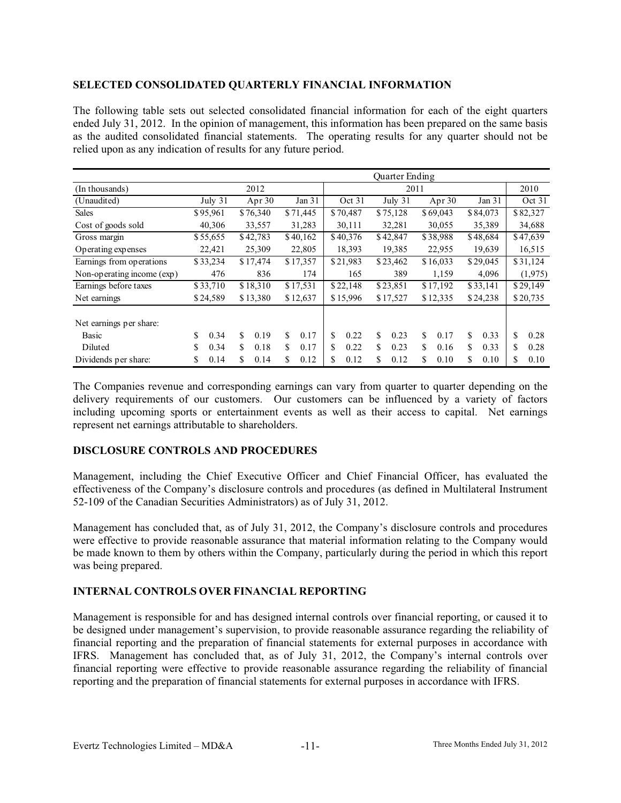#### **SELECTED CONSOLIDATED QUARTERLY FINANCIAL INFORMATION**

The following table sets out selected consolidated financial information for each of the eight quarters ended July 31, 2012. In the opinion of management, this information has been prepared on the same basis as the audited consolidated financial statements. The operating results for any quarter should not be relied upon as any indication of results for any future period.

|                            | <b>Ouarter Ending</b> |            |            |           |            |            |            |            |
|----------------------------|-----------------------|------------|------------|-----------|------------|------------|------------|------------|
| (In thousands)             |                       | 2012       |            |           | 2011       |            |            | 2010       |
| (Unaudited)                | July 31               | Apr 30     | Jan 31     | Oct 31    | July 31    | Apr 30     | Jan 31     | Oct 31     |
| <b>Sales</b>               | \$95,961              | \$76,340   | \$71,445   | \$70,487  | \$75,128   | \$69,043   | \$84,073   | \$82,327   |
| Cost of goods sold         | 40,306                | 33,557     | 31,283     | 30,111    | 32,281     | 30,055     | 35,389     | 34,688     |
| Gross margin               | \$55,655              | \$42,783   | \$40,162   | \$40,376  | \$42,847   | \$38,988   | \$48,684   | \$47,639   |
| Operating expenses         | 22,421                | 25,309     | 22,805     | 18,393    | 19,385     | 22,955     | 19,639     | 16,515     |
| Earnings from operations   | \$33,234              | \$17,474   | \$17,357   | \$21,983  | \$23,462   | \$16,033   | \$29,045   | \$31,124   |
| Non-operating income (exp) | 476                   | 836        | 174        | 165       | 389        | 1,159      | 4,096      | (1,975)    |
| Earnings before taxes      | \$33,710              | \$18,310   | \$17,531   | \$22,148  | \$23,851   | \$17,192   | \$33,141   | \$29,149   |
| Net earnings               | \$24,589              | \$13,380   | \$12,637   | \$15,996  | \$17,527   | \$12,335   | \$24,238   | \$20,735   |
| Net earnings per share:    |                       |            |            |           |            |            |            |            |
| Basic                      | \$<br>0.34            | \$<br>0.19 | \$<br>0.17 | S<br>0.22 | \$<br>0.23 | S.<br>0.17 | \$<br>0.33 | \$<br>0.28 |
| Diluted                    | \$<br>0.34            | S<br>0.18  | \$<br>0.17 | 0.22<br>S | S.<br>0.23 | \$<br>0.16 | \$<br>0.33 | \$<br>0.28 |
| Dividends per share:       | 0.14<br>\$            | \$<br>0.14 | \$<br>0.12 | 0.12<br>S | \$<br>0.12 | 0.10<br>\$ | \$<br>0.10 | \$<br>0.10 |

The Companies revenue and corresponding earnings can vary from quarter to quarter depending on the delivery requirements of our customers. Our customers can be influenced by a variety of factors including upcoming sports or entertainment events as well as their access to capital. Net earnings represent net earnings attributable to shareholders.

# **DISCLOSURE CONTROLS AND PROCEDURES**

Management, including the Chief Executive Officer and Chief Financial Officer, has evaluated the effectiveness of the Company's disclosure controls and procedures (as defined in Multilateral Instrument 52-109 of the Canadian Securities Administrators) as of July 31, 2012.

Management has concluded that, as of July 31, 2012, the Company's disclosure controls and procedures were effective to provide reasonable assurance that material information relating to the Company would be made known to them by others within the Company, particularly during the period in which this report was being prepared.

# **INTERNAL CONTROLS OVER FINANCIAL REPORTING**

Management is responsible for and has designed internal controls over financial reporting, or caused it to be designed under management's supervision, to provide reasonable assurance regarding the reliability of financial reporting and the preparation of financial statements for external purposes in accordance with IFRS. Management has concluded that, as of July 31, 2012, the Company's internal controls over financial reporting were effective to provide reasonable assurance regarding the reliability of financial reporting and the preparation of financial statements for external purposes in accordance with IFRS.